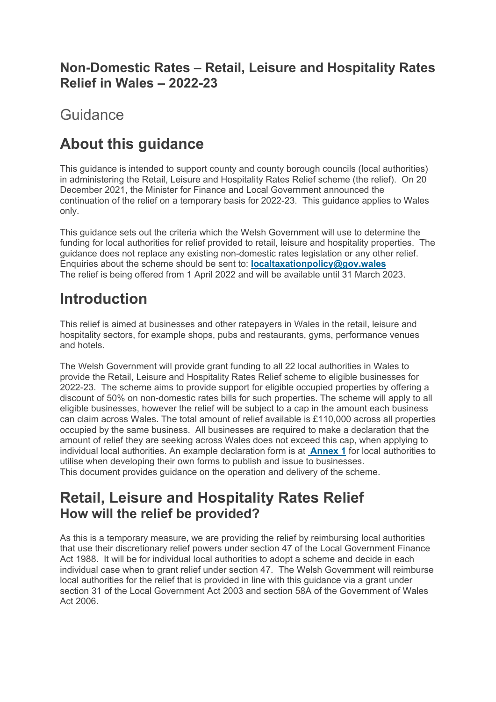### **Non-Domestic Rates – Retail, Leisure and Hospitality Rates Relief in Wales – 2022-23**

**Guidance** 

# **About this guidance**

This guidance is intended to support county and county borough councils (local authorities) in administering the Retail, Leisure and Hospitality Rates Relief scheme (the relief). On 20 December 2021, the Minister for Finance and Local Government announced the continuation of the relief on a temporary basis for 2022-23. This guidance applies to Wales only.

This guidance sets out the criteria which the Welsh Government will use to determine the funding for local authorities for relief provided to retail, leisure and hospitality properties. The guidance does not replace any existing non-domestic rates legislation or any other relief. Enquiries about the scheme should be sent to: **localtaxationpolicy@gov.wales** The relief is being offered from 1 April 2022 and will be available until 31 March 2023.

# **Introduction**

This relief is aimed at businesses and other ratepayers in Wales in the retail, leisure and hospitality sectors, for example shops, pubs and restaurants, gyms, performance venues and hotels.

The Welsh Government will provide grant funding to all 22 local authorities in Wales to provide the Retail, Leisure and Hospitality Rates Relief scheme to eligible businesses for 2022-23. The scheme aims to provide support for eligible occupied properties by offering a discount of 50% on non-domestic rates bills for such properties. The scheme will apply to all eligible businesses, however the relief will be subject to a cap in the amount each business can claim across Wales. The total amount of relief available is £110,000 across all properties occupied by the same business. All businesses are required to make a declaration that the amount of relief they are seeking across Wales does not exceed this cap, when applying to individual local authorities. An example declaration form is at **Annex 1** for local authorities to utilise when developing their own forms to publish and issue to businesses. This document provides guidance on the operation and delivery of the scheme.

## **Retail, Leisure and Hospitality Rates Relief How will the relief be provided?**

As this is a temporary measure, we are providing the relief by reimbursing local authorities that use their discretionary relief powers under section 47 of the Local Government Finance Act 1988. It will be for individual local authorities to adopt a scheme and decide in each individual case when to grant relief under section 47. The Welsh Government will reimburse local authorities for the relief that is provided in line with this guidance via a grant under section 31 of the Local Government Act 2003 and section 58A of the Government of Wales Act 2006.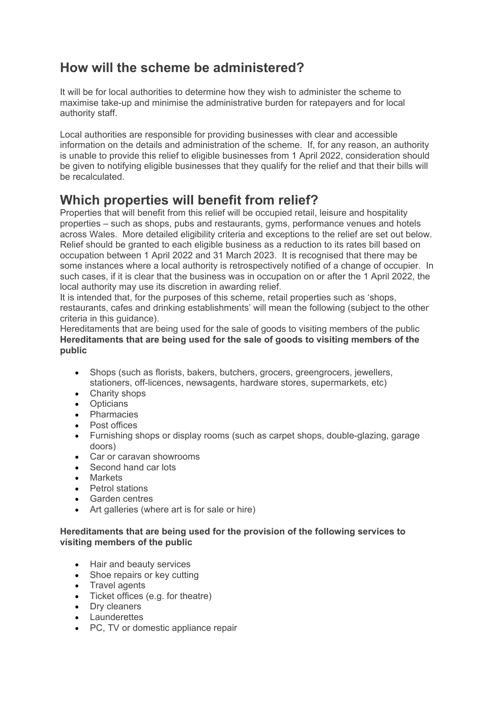### **How will the scheme be administered?**

It will be for local authorities to determine how they wish to administer the scheme to maximise take-up and minimise the administrative burden for ratepayers and for local authority staff.

Local authorities are responsible for providing businesses with clear and accessible information on the details and administration of the scheme. If, for any reason, an authority is unable to provide this relief to eligible businesses from 1 April 2022, consideration should be given to notifying eligible businesses that they qualify for the relief and that their bills will be recalculated.

### **Which properties will benefit from relief?**

Properties that will benefit from this relief will be occupied retail, leisure and hospitality properties – such as shops, pubs and restaurants, gyms, performance venues and hotels across Wales. More detailed eligibility criteria and exceptions to the relief are set out below. Relief should be granted to each eligible business as a reduction to its rates bill based on occupation between 1 April 2022 and 31 March 2023. It is recognised that there may be some instances where a local authority is retrospectively notified of a change of occupier. In such cases, if it is clear that the business was in occupation on or after the 1 April 2022, the local authority may use its discretion in awarding relief.

It is intended that, for the purposes of this scheme, retail properties such as 'shops, restaurants, cafes and drinking establishments' will mean the following (subject to the other criteria in this guidance).

Hereditaments that are being used for the sale of goods to visiting members of the public **Hereditaments that are being used for the sale of goods to visiting members of the public**

- Shops (such as florists, bakers, butchers, grocers, greengrocers, jewellers, stationers, off-licences, newsagents, hardware stores, supermarkets, etc)
- Charity shops
- Opticians
- Pharmacies
- Post offices
- Furnishing shops or display rooms (such as carpet shops, double-glazing, garage doors)
- Car or caravan showrooms
- Second hand car lots
- **Markets**
- Petrol stations
- Garden centres
- Art galleries (where art is for sale or hire)

### **Hereditaments that are being used for the provision of the following services to visiting members of the public**

- Hair and beauty services
- Shoe repairs or key cutting
- Travel agents
- Ticket offices (e.g. for theatre)
- Dry cleaners
- Launderettes
- PC, TV or domestic appliance repair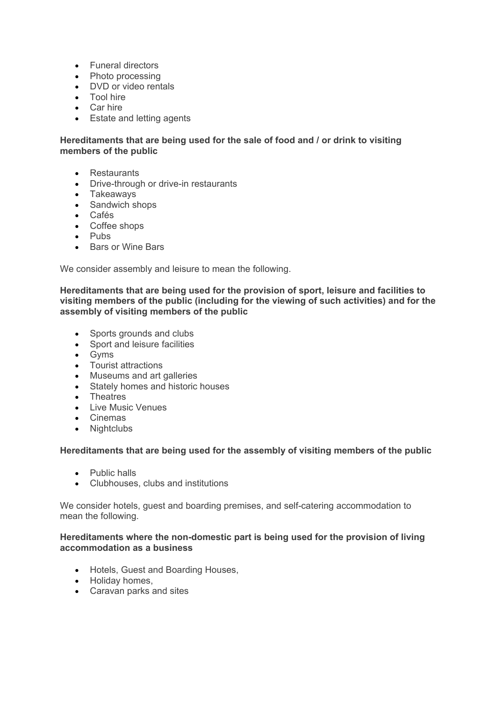- Funeral directors
- Photo processing
- DVD or video rentals
- **Tool hire**
- Car hire
- **Estate and letting agents**

### **Hereditaments that are being used for the sale of food and / or drink to visiting members of the public**

- Restaurants
- Drive-through or drive-in restaurants
- Takeaways
- Sandwich shops
- Cafés
- Coffee shops
- Pubs
- **Bars or Wine Bars**

We consider assembly and leisure to mean the following.

**Hereditaments that are being used for the provision of sport, leisure and facilities to visiting members of the public (including for the viewing of such activities) and for the assembly of visiting members of the public**

- Sports grounds and clubs
- Sport and leisure facilities
- Gyms
- Tourist attractions
- Museums and art galleries
- Stately homes and historic houses
- **•** Theatres
- **.** Live Music Venues
- Cinemas
- Nightclubs

#### **Hereditaments that are being used for the assembly of visiting members of the public**

- Public halls
- Clubhouses, clubs and institutions

We consider hotels, guest and boarding premises, and self-catering accommodation to mean the following.

#### **Hereditaments where the non-domestic part is being used for the provision of living accommodation as a business**

- Hotels, Guest and Boarding Houses,
- Holiday homes,
- Caravan parks and sites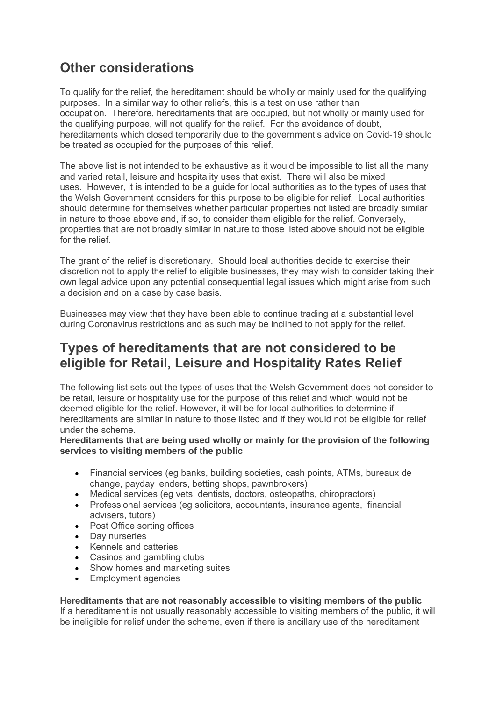### **Other considerations**

To qualify for the relief, the hereditament should be wholly or mainly used for the qualifying purposes. In a similar way to other reliefs, this is a test on use rather than occupation. Therefore, hereditaments that are occupied, but not wholly or mainly used for the qualifying purpose, will not qualify for the relief. For the avoidance of doubt, hereditaments which closed temporarily due to the government's advice on Covid-19 should be treated as occupied for the purposes of this relief.

The above list is not intended to be exhaustive as it would be impossible to list all the many and varied retail, leisure and hospitality uses that exist. There will also be mixed uses. However, it is intended to be a guide for local authorities as to the types of uses that the Welsh Government considers for this purpose to be eligible for relief. Local authorities should determine for themselves whether particular properties not listed are broadly similar in nature to those above and, if so, to consider them eligible for the relief. Conversely, properties that are not broadly similar in nature to those listed above should not be eligible for the relief.

The grant of the relief is discretionary. Should local authorities decide to exercise their discretion not to apply the relief to eligible businesses, they may wish to consider taking their own legal advice upon any potential consequential legal issues which might arise from such a decision and on a case by case basis.

Businesses may view that they have been able to continue trading at a substantial level during Coronavirus restrictions and as such may be inclined to not apply for the relief.

### **Types of hereditaments that are not considered to be eligible for Retail, Leisure and Hospitality Rates Relief**

The following list sets out the types of uses that the Welsh Government does not consider to be retail, leisure or hospitality use for the purpose of this relief and which would not be deemed eligible for the relief. However, it will be for local authorities to determine if hereditaments are similar in nature to those listed and if they would not be eligible for relief under the scheme.

#### **Hereditaments that are being used wholly or mainly for the provision of the following services to visiting members of the public**

- Financial services (eg banks, building societies, cash points, ATMs, bureaux de change, payday lenders, betting shops, pawnbrokers)
- Medical services (eg vets, dentists, doctors, osteopaths, chiropractors)
- Professional services (eg solicitors, accountants, insurance agents, financial advisers, tutors)
- Post Office sorting offices
- Day nurseries
- Kennels and catteries
- Casinos and gambling clubs
- Show homes and marketing suites
- **Employment agencies**

#### **Hereditaments that are not reasonably accessible to visiting members of the public**

If a hereditament is not usually reasonably accessible to visiting members of the public, it will be ineligible for relief under the scheme, even if there is ancillary use of the hereditament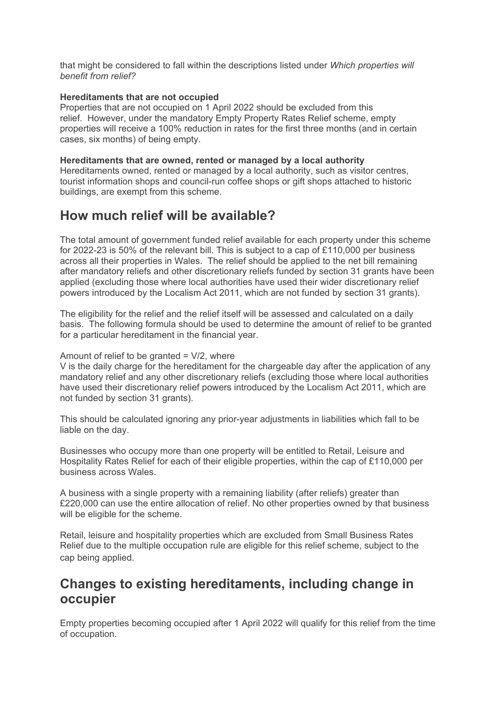that might be considered to fall within the descriptions listed under *Which properties will benefit from relief?* 

#### **Hereditaments that are not occupied**

Properties that are not occupied on 1 April 2022 should be excluded from this relief. However, under the mandatory Empty Property Rates Relief scheme, empty properties will receive a 100% reduction in rates for the first three months (and in certain cases, six months) of being empty.

#### **Hereditaments that are owned, rented or managed by a local authority**

Hereditaments owned, rented or managed by a local authority, such as visitor centres, tourist information shops and council-run coffee shops or gift shops attached to historic buildings, are exempt from this scheme.

### **How much relief will be available?**

The total amount of government funded relief available for each property under this scheme for 2022-23 is 50% of the relevant bill. This is subject to a cap of £110,000 per business across all their properties in Wales. The relief should be applied to the net bill remaining after mandatory reliefs and other discretionary reliefs funded by section 31 grants have been applied (excluding those where local authorities have used their wider discretionary relief powers introduced by the Localism Act 2011, which are not funded by section 31 grants).

The eligibility for the relief and the relief itself will be assessed and calculated on a daily basis. The following formula should be used to determine the amount of relief to be granted for a particular hereditament in the financial year.

#### Amount of relief to be granted  $= \frac{V}{2}$ , where

V is the daily charge for the hereditament for the chargeable day after the application of any mandatory relief and any other discretionary reliefs (excluding those where local authorities have used their discretionary relief powers introduced by the Localism Act 2011, which are not funded by section 31 grants).

This should be calculated ignoring any prior-year adjustments in liabilities which fall to be liable on the day.

Businesses who occupy more than one property will be entitled to Retail, Leisure and Hospitality Rates Relief for each of their eligible properties, within the cap of £110,000 per business across Wales.

A business with a single property with a remaining liability (after reliefs) greater than £220,000 can use the entire allocation of relief. No other properties owned by that business will be eligible for the scheme.

Retail, leisure and hospitality properties which are excluded from Small Business Rates Relief due to the multiple occupation rule are eligible for this relief scheme, subject to the cap being applied.

### **Changes to existing hereditaments, including change in occupier**

Empty properties becoming occupied after 1 April 2022 will qualify for this relief from the time of occupation.